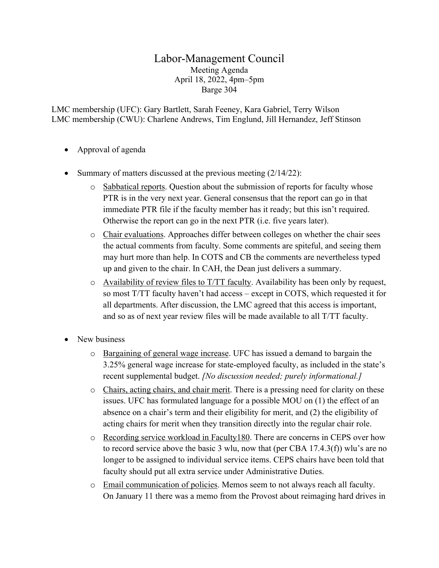## Labor-Management Council Meeting Agenda April 18, 2022, 4pm–5pm Barge 304

LMC membership (UFC): Gary Bartlett, Sarah Feeney, Kara Gabriel, Terry Wilson LMC membership (CWU): Charlene Andrews, Tim Englund, Jill Hernandez, Jeff Stinson

- Approval of agenda
- Summary of matters discussed at the previous meeting (2/14/22):
	- o Sabbatical reports. Question about the submission of reports for faculty whose PTR is in the very next year. General consensus that the report can go in that immediate PTR file if the faculty member has it ready; but this isn't required. Otherwise the report can go in the next PTR (i.e. five years later).
	- o Chair evaluations. Approaches differ between colleges on whether the chair sees the actual comments from faculty. Some comments are spiteful, and seeing them may hurt more than help. In COTS and CB the comments are nevertheless typed up and given to the chair. In CAH, the Dean just delivers a summary.
	- $\circ$  Availability of review files to T/TT faculty. Availability has been only by request, so most T/TT faculty haven't had access – except in COTS, which requested it for all departments. After discussion, the LMC agreed that this access is important, and so as of next year review files will be made available to all T/TT faculty.
- New business
	- o Bargaining of general wage increase. UFC has issued a demand to bargain the 3.25% general wage increase for state-employed faculty, as included in the state's recent supplemental budget. *[No discussion needed; purely informational.]*
	- o Chairs, acting chairs, and chair merit. There is a pressing need for clarity on these issues. UFC has formulated language for a possible MOU on (1) the effect of an absence on a chair's term and their eligibility for merit, and (2) the eligibility of acting chairs for merit when they transition directly into the regular chair role.
	- o Recording service workload in Faculty180. There are concerns in CEPS over how to record service above the basic 3 wlu, now that (per CBA 17.4.3(f)) wlu's are no longer to be assigned to individual service items. CEPS chairs have been told that faculty should put all extra service under Administrative Duties.
	- o Email communication of policies. Memos seem to not always reach all faculty. On January 11 there was a memo from the Provost about reimaging hard drives in